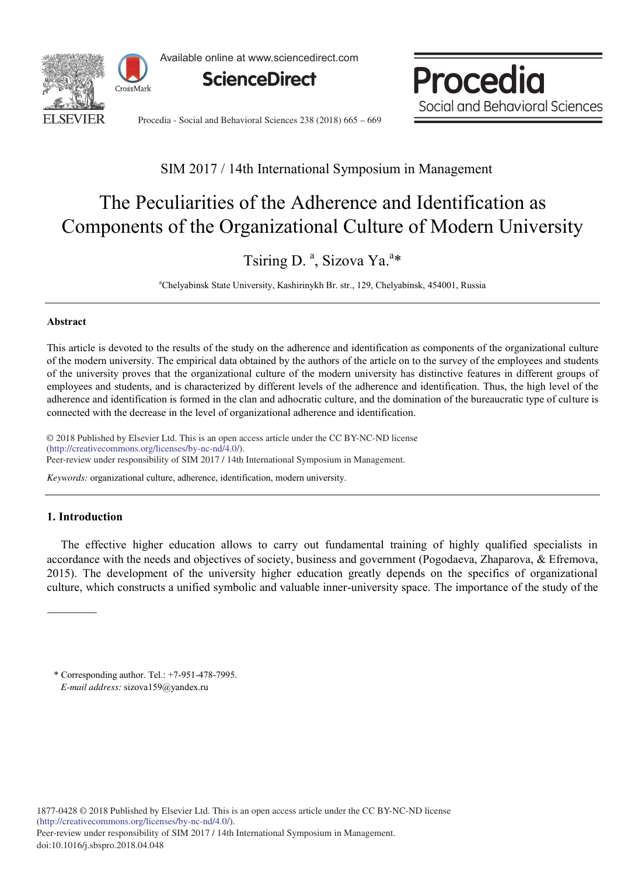

Available online at www.sciencedirect.com



Procedia Social and Behavioral Sciences

Procedia - Social and Behavioral Sciences 238 (2018) 665 – 669

### SIM 2017 / 14th International Symposium in Management

# The Peculiarities of the Adherence and Identification as Components of the Organizational Culture of Modern University

## Tsiring D.<sup>a</sup>, Sizova Ya.<sup>a\*</sup>

a Chelyabinsk State University, Kashirinykh Br. str., 129, Chelyabinsk, 454001, Russia

#### **Abstract**

This article is devoted to the results of the study on the adherence and identification as components of the organizational culture of the modern university. The empirical data obtained by the authors of the article on to the survey of the employees and students of the university proves that the organizational culture of the modern university has distinctive features in different groups of employees and students, and is characterized by different levels of the adherence and identification. Thus, the high level of the adherence and identification is formed in the clan and adhocratic culture, and the domination of the bureaucratic type of culture is connected with the decrease in the level of organizational adherence and identification.

© 2018 Published by Elsevier Ltd. This is an open access article under the CC BY-NC-ND license (http://creativecommons.org/licenses/by-nc-nd/4.0/).<br>
Sex a symposium in Management. Peer-review under responsibility of SIM 2017 / 14th International Symposium in Management.

*Keywords:* organizational culture, adherence, identification, modern university.

#### **1. Introduction**

The effective higher education allows to carry out fundamental training of highly qualified specialists in accordance with the needs and objectives of society, business and government (Pogodaeva, Zhaparova, & Efremova, 2015). The development of the university higher education greatly depends on the specifics of organizational culture, which constructs a unified symbolic and valuable inner-university space. The importance of the study of the

\* Corresponding author. Tel.: +7-951-478-7995. *E-mail address:* sizova159@yandex.ru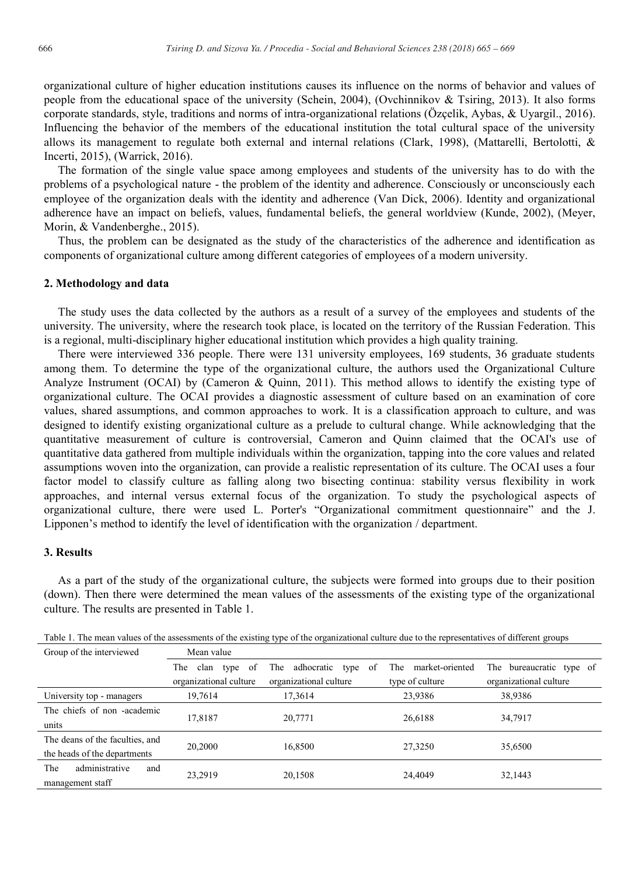organizational culture of higher education institutions causes its influence on the norms of behavior and values of people from the educational space of the university (Schein, 2004), (Ovchinnikov & Tsiring, 2013). It also forms corporate standards, style, traditions and norms of intra-organizational relations (Özçelik, Aybas, & Uyargil., 2016). Influencing the behavior of the members of the educational institution the total cultural space of the university allows its management to regulate both external and internal relations (Clark, 1998), (Mattarelli, Bertolotti, & Incerti, 2015), (Warrick, 2016).

The formation of the single value space among employees and students of the university has to do with the problems of a psychological nature - the problem of the identity and adherence. Consciously or unconsciously each employee of the organization deals with the identity and adherence (Van Dick, 2006). Identity and organizational adherence have an impact on beliefs, values, fundamental beliefs, the general worldview (Кunde, 2002), (Meyer, Morin, & Vandenberghe., 2015).

Thus, the problem can be designated as the study of the characteristics of the adherence and identification as components of organizational culture among different categories of employees of a modern university.

#### **2. Methodology and data**

The study uses the data collected by the authors as a result of a survey of the employees and students of the university. The university, where the research took place, is located on the territory of the Russian Federation. This is a regional, multi-disciplinary higher educational institution which provides a high quality training.

There were interviewed 336 people. There were 131 university employees, 169 students, 36 graduate students among them. To determine the type of the organizational culture, the authors used the Organizational Culture Analyze Instrument (OCAI) by (Cameron & Quinn, 2011). This method allows to identify the existing type of organizational culture. The OCAI provides a diagnostic assessment of culture based on an examination of core values, shared assumptions, and common approaches to work. It is a classification approach to culture, and was designed to identify existing organizational culture as a prelude to cultural change. While acknowledging that the quantitative measurement of culture is controversial, Cameron and Quinn claimed that the OCAI's use of quantitative data gathered from multiple individuals within the organization, tapping into the core values and related assumptions woven into the organization, can provide a realistic representation of its culture. The OCAI uses a four factor model to classify culture as falling along two bisecting continua: stability versus flexibility in work approaches, and internal versus external focus of the organization. To study the psychological aspects of organizational culture, there were used L. Porter's "Organizational commitment questionnaire" and the J. Lipponen's method to identify the level of identification with the organization / department.

#### **3. Results**

As a part of the study of the organizational culture, the subjects were formed into groups due to their position (down). Then there were determined the mean values of the assessments of the existing type of the organizational culture. The results are presented in Table 1.

| Group of the interviewed        | Mean value                  |                                   |                        |                          |
|---------------------------------|-----------------------------|-----------------------------------|------------------------|--------------------------|
|                                 | The<br>clan<br>type<br>- of | adhocratic<br>type<br>- of<br>The | market-oriented<br>The | The bureaucratic type of |
|                                 | organizational culture      | organizational culture            | type of culture        | organizational culture   |
| University top - managers       | 19,7614                     | 17,3614                           | 23,9386                | 38,9386                  |
| The chiefs of non-academic      |                             |                                   |                        |                          |
| units                           | 17,8187                     | 20,7771                           | 26,6188                | 34,7917                  |
| The deans of the faculties, and |                             |                                   |                        |                          |
| the heads of the departments    | 20.2000                     | 16,8500                           | 27,3250                | 35,6500                  |
| administrative<br>The<br>and    |                             |                                   |                        |                          |
| management staff                | 23,2919                     | 20,1508                           | 24,4049                | 32,1443                  |

Table 1. The mean values of the assessments of the existing type of the organizational culture due to the representatives of different groups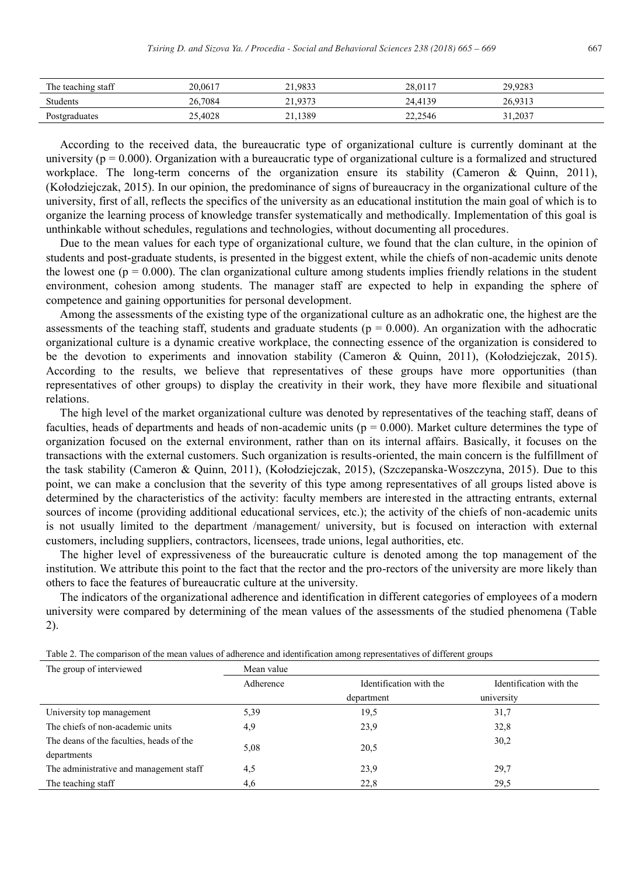| The teaching staff | 20.0617             | .9833<br>$^{\sim}$ 1 | 20.0117<br>28.UH | 29.9283 |  |
|--------------------|---------------------|----------------------|------------------|---------|--|
| Students           | 26,7084             | .9373<br>$^{\sim}$ 1 | 24.4139          | 26,9313 |  |
| Postgraduates      | ,4028<br>ጎሮ<br>ں کے | 1389                 | 22,2546          | 31,2037 |  |

According to the received data, the bureaucratic type of organizational culture is currently dominant at the university ( $p = 0.000$ ). Organization with a bureaucratic type of organizational culture is a formalized and structured workplace. The long-term concerns of the organization ensure its stability (Cameron & Quinn, 2011), (Kołodziejczak, 2015). In our opinion, the predominance of signs of bureaucracy in the organizational culture of the university, first of all, reflects the specifics of the university as an educational institution the main goal of which is to organize the learning process of knowledge transfer systematically and methodically. Implementation of this goal is unthinkable without schedules, regulations and technologies, without documenting all procedures.

Due to the mean values for each type of organizational culture, we found that the clan culture, in the opinion of students and post-graduate students, is presented in the biggest extent, while the chiefs of non-academic units denote the lowest one ( $p = 0.000$ ). The clan organizational culture among students implies friendly relations in the student environment, cohesion among students. The manager staff are expected to help in expanding the sphere of competence and gaining opportunities for personal development.

Among the assessments of the existing type of the organizational culture as an adhokratic one, the highest are the assessments of the teaching staff, students and graduate students ( $p = 0.000$ ). An organization with the adhocratic organizational culture is a dynamic creative workplace, the connecting essence of the organization is considered to be the devotion to experiments and innovation stability (Cameron & Quinn, 2011), (Kołodziejczak, 2015). According to the results, we believe that representatives of these groups have more opportunities (than representatives of other groups) to display the creativity in their work, they have more flexibile and situational relations.

The high level of the market organizational culture was denoted by representatives of the teaching staff, deans of faculties, heads of departments and heads of non-academic units ( $p = 0.000$ ). Market culture determines the type of organization focused on the external environment, rather than on its internal affairs. Basically, it focuses on the transactions with the external customers. Such organization is results-oriented, the main concern is the fulfillment of the task stability (Cameron & Quinn, 2011), (Kołodziejczak, 2015), (Szczepanska-Woszczyna, 2015). Due to this point, we can make a conclusion that the severity of this type among representatives of all groups listed above is determined by the characteristics of the activity: faculty members are interested in the attracting entrants, external sources of income (providing additional educational services, etc.); the activity of the chiefs of non-academic units is not usually limited to the department /management/ university, but is focused on interaction with external customers, including suppliers, contractors, licensees, trade unions, legal authorities, etc.

The higher level of expressiveness of the bureaucratic culture is denoted among the top management of the institution. We attribute this point to the fact that the rector and the pro-rectors of the university are more likely than others to face the features of bureaucratic culture at the university.

The indicators of the organizational adherence and identification in different categories of employees of a modern university were compared by determining of the mean values of the assessments of the studied phenomena (Table 2).

| The group of interviewed                 | Mean value |                         |                         |  |
|------------------------------------------|------------|-------------------------|-------------------------|--|
|                                          | Adherence  | Identification with the | Identification with the |  |
|                                          |            | department              | university              |  |
| University top management                | 5,39       | 19,5                    | 31,7                    |  |
| The chiefs of non-academic units         | 4,9        | 23,9                    | 32,8                    |  |
| The deans of the faculties, heads of the |            |                         | 30,2                    |  |
| departments                              | 5,08       | 20,5                    |                         |  |
| The administrative and management staff  | 4,5        | 23,9                    | 29,7                    |  |
| The teaching staff                       | 4,6        | 22,8                    | 29,5                    |  |

Table 2. The comparison of the mean values of adherence and identification among representatives of different groups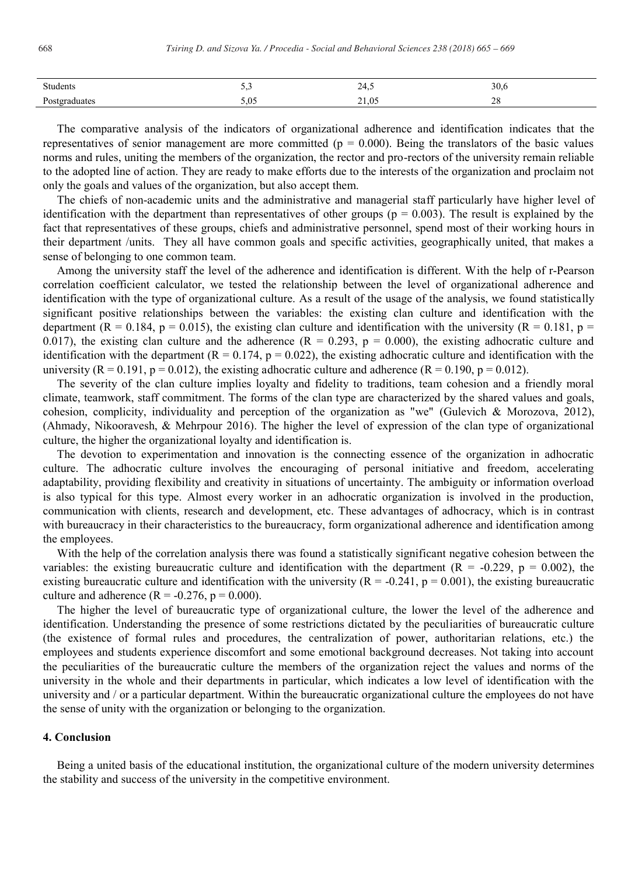| Students             |                  | $\lambda$<br>∼ | JU.U                               |
|----------------------|------------------|----------------|------------------------------------|
| Postgraduates<br>. . | $\Omega$<br>2.03 | 21,05          | $\Delta$ c<br>$\angle 0$<br>$\sim$ |

The comparative analysis of the indicators of organizational adherence and identification indicates that the representatives of senior management are more committed ( $p = 0.000$ ). Being the translators of the basic values norms and rules, uniting the members of the organization, the rector and pro-rectors of the university remain reliable to the adopted line of action. They are ready to make efforts due to the interests of the organization and proclaim not only the goals and values of the organization, but also accept them.

The chiefs of non-academic units and the administrative and managerial staff particularly have higher level of identification with the department than representatives of other groups ( $p = 0.003$ ). The result is explained by the fact that representatives of these groups, chiefs and administrative personnel, spend most of their working hours in their department /units. They all have common goals and specific activities, geographically united, that makes a sense of belonging to one common team.

Among the university staff the level of the adherence and identification is different. With the help of r-Pearson correlation coefficient calculator, we tested the relationship between the level of organizational adherence and identification with the type of organizational culture. As a result of the usage of the analysis, we found statistically significant positive relationships between the variables: the existing clan culture and identification with the department ( $R = 0.184$ ,  $p = 0.015$ ), the existing clan culture and identification with the university ( $R = 0.181$ ,  $p =$ 0.017), the existing clan culture and the adherence  $(R = 0.293, p = 0.000)$ , the existing adhocratic culture and identification with the department ( $R = 0.174$ ,  $p = 0.022$ ), the existing adhocratic culture and identification with the university  $(R = 0.191, p = 0.012)$ , the existing adhocratic culture and adherence  $(R = 0.190, p = 0.012)$ .

The severity of the clan culture implies loyalty and fidelity to traditions, team cohesion and a friendly moral climate, teamwork, staff commitment. The forms of the clan type are characterized by the shared values and goals, cohesion, complicity, individuality and perception of the organization as "we" (Gulevich & Morozova, 2012), (Ahmady, Nikooravesh, & Mehrpour 2016). The higher the level of expression of the clan type of organizational culture, the higher the organizational loyalty and identification is.

The devotion to experimentation and innovation is the connecting essence of the organization in adhocratic culture. The adhocratic culture involves the encouraging of personal initiative and freedom, accelerating adaptability, providing flexibility and creativity in situations of uncertainty. The ambiguity or information overload is also typical for this type. Almost every worker in an adhocratic organization is involved in the production, communication with clients, research and development, etc. These advantages of adhocracy, which is in contrast with bureaucracy in their characteristics to the bureaucracy, form organizational adherence and identification among the employees.

With the help of the correlation analysis there was found a statistically significant negative cohesion between the variables: the existing bureaucratic culture and identification with the department  $(R = -0.229, p = 0.002)$ , the existing bureaucratic culture and identification with the university ( $R = -0.241$ ,  $p = 0.001$ ), the existing bureaucratic culture and adherence  $(R = -0.276, p = 0.000)$ .

The higher the level of bureaucratic type of organizational culture, the lower the level of the adherence and identification. Understanding the presence of some restrictions dictated by the peculiarities of bureaucratic culture (the existence of formal rules and procedures, the centralization of power, authoritarian relations, etc.) the employees and students experience discomfort and some emotional background decreases. Not taking into account the peculiarities of the bureaucratic culture the members of the organization reject the values and norms of the university in the whole and their departments in particular, which indicates a low level of identification with the university and / or a particular department. Within the bureaucratic organizational culture the employees do not have the sense of unity with the organization or belonging to the organization.

#### **4. Conclusion**

Being a united basis of the educational institution, the organizational culture of the modern university determines the stability and success of the university in the competitive environment.